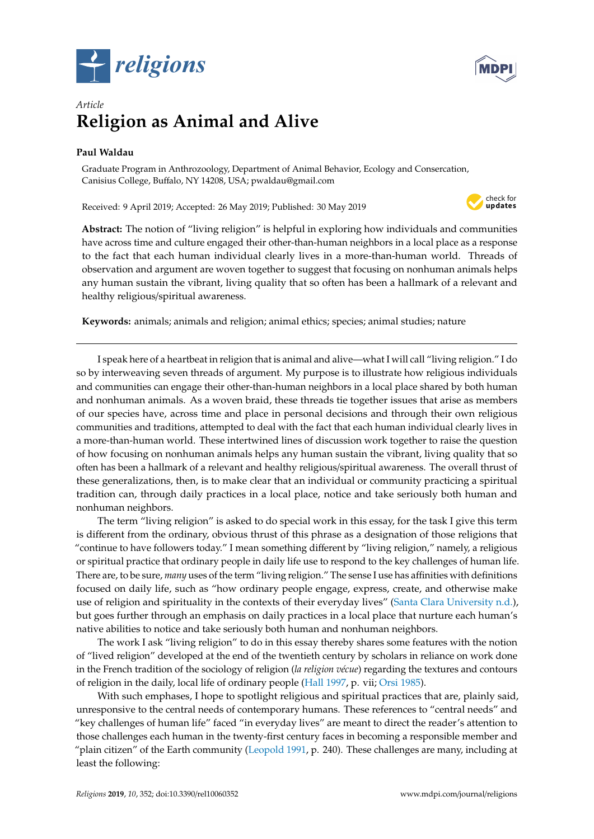



# *Article* **Religion as Animal and Alive**

# **Paul Waldau**

Graduate Program in Anthrozoology, Department of Animal Behavior, Ecology and Consercation, Canisius College, Buffalo, NY 14208, USA; pwaldau@gmail.com

Received: 9 April 2019; Accepted: 26 May 2019; Published: 30 May 2019



**Abstract:** The notion of "living religion" is helpful in exploring how individuals and communities have across time and culture engaged their other-than-human neighbors in a local place as a response to the fact that each human individual clearly lives in a more-than-human world. Threads of observation and argument are woven together to suggest that focusing on nonhuman animals helps any human sustain the vibrant, living quality that so often has been a hallmark of a relevant and healthy religious/spiritual awareness.

**Keywords:** animals; animals and religion; animal ethics; species; animal studies; nature

I speak here of a heartbeat in religion that is animal and alive—what I will call "living religion." I do so by interweaving seven threads of argument. My purpose is to illustrate how religious individuals and communities can engage their other-than-human neighbors in a local place shared by both human and nonhuman animals. As a woven braid, these threads tie together issues that arise as members of our species have, across time and place in personal decisions and through their own religious communities and traditions, attempted to deal with the fact that each human individual clearly lives in a more-than-human world. These intertwined lines of discussion work together to raise the question of how focusing on nonhuman animals helps any human sustain the vibrant, living quality that so often has been a hallmark of a relevant and healthy religious/spiritual awareness. The overall thrust of these generalizations, then, is to make clear that an individual or community practicing a spiritual tradition can, through daily practices in a local place, notice and take seriously both human and nonhuman neighbors.

The term "living religion" is asked to do special work in this essay, for the task I give this term is different from the ordinary, obvious thrust of this phrase as a designation of those religions that "continue to have followers today." I mean something different by "living religion," namely, a religious or spiritual practice that ordinary people in daily life use to respond to the key challenges of human life. There are, to be sure, *many* uses of the term "living religion." The sense I use has affinities with definitions focused on daily life, such as "how ordinary people engage, express, create, and otherwise make use of religion and spirituality in the contexts of their everyday lives" [\(Santa Clara University](#page-18-0) [n.d.\)](#page-18-0), but goes further through an emphasis on daily practices in a local place that nurture each human's native abilities to notice and take seriously both human and nonhuman neighbors.

The work I ask "living religion" to do in this essay thereby shares some features with the notion of "lived religion" developed at the end of the twentieth century by scholars in reliance on work done in the French tradition of the sociology of religion (*la religion vécue*) regarding the textures and contours of religion in the daily, local life of ordinary people [\(Hall](#page-18-1) [1997,](#page-18-1) p. vii; [Orsi](#page-18-2) [1985\)](#page-18-2).

With such emphases, I hope to spotlight religious and spiritual practices that are, plainly said, unresponsive to the central needs of contemporary humans. These references to "central needs" and "key challenges of human life" faced "in everyday lives" are meant to direct the reader's attention to those challenges each human in the twenty-first century faces in becoming a responsible member and "plain citizen" of the Earth community [\(Leopold](#page-18-3) [1991,](#page-18-3) p. 240). These challenges are many, including at least the following: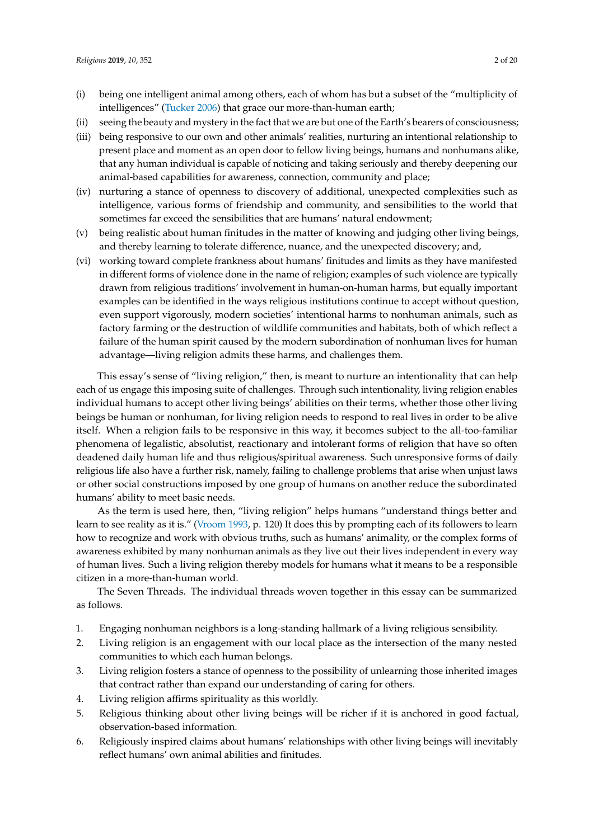- (i) being one intelligent animal among others, each of whom has but a subset of the "multiplicity of intelligences" [\(Tucker](#page-18-4) [2006\)](#page-18-4) that grace our more-than-human earth;
- (ii) seeing the beauty and mystery in the fact that we are but one of the Earth's bearers of consciousness;
- (iii) being responsive to our own and other animals' realities, nurturing an intentional relationship to present place and moment as an open door to fellow living beings, humans and nonhumans alike, that any human individual is capable of noticing and taking seriously and thereby deepening our animal-based capabilities for awareness, connection, community and place;
- (iv) nurturing a stance of openness to discovery of additional, unexpected complexities such as intelligence, various forms of friendship and community, and sensibilities to the world that sometimes far exceed the sensibilities that are humans' natural endowment;
- (v) being realistic about human finitudes in the matter of knowing and judging other living beings, and thereby learning to tolerate difference, nuance, and the unexpected discovery; and,
- (vi) working toward complete frankness about humans' finitudes and limits as they have manifested in different forms of violence done in the name of religion; examples of such violence are typically drawn from religious traditions' involvement in human-on-human harms, but equally important examples can be identified in the ways religious institutions continue to accept without question, even support vigorously, modern societies' intentional harms to nonhuman animals, such as factory farming or the destruction of wildlife communities and habitats, both of which reflect a failure of the human spirit caused by the modern subordination of nonhuman lives for human advantage—living religion admits these harms, and challenges them.

This essay's sense of "living religion," then, is meant to nurture an intentionality that can help each of us engage this imposing suite of challenges. Through such intentionality, living religion enables individual humans to accept other living beings' abilities on their terms, whether those other living beings be human or nonhuman, for living religion needs to respond to real lives in order to be alive itself. When a religion fails to be responsive in this way, it becomes subject to the all-too-familiar phenomena of legalistic, absolutist, reactionary and intolerant forms of religion that have so often deadened daily human life and thus religious/spiritual awareness. Such unresponsive forms of daily religious life also have a further risk, namely, failing to challenge problems that arise when unjust laws or other social constructions imposed by one group of humans on another reduce the subordinated humans' ability to meet basic needs.

As the term is used here, then, "living religion" helps humans "understand things better and learn to see reality as it is." [\(Vroom](#page-19-0) [1993,](#page-19-0) p. 120) It does this by prompting each of its followers to learn how to recognize and work with obvious truths, such as humans' animality, or the complex forms of awareness exhibited by many nonhuman animals as they live out their lives independent in every way of human lives. Such a living religion thereby models for humans what it means to be a responsible citizen in a more-than-human world.

The Seven Threads. The individual threads woven together in this essay can be summarized as follows.

- 1. Engaging nonhuman neighbors is a long-standing hallmark of a living religious sensibility.
- 2. Living religion is an engagement with our local place as the intersection of the many nested communities to which each human belongs.
- 3. Living religion fosters a stance of openness to the possibility of unlearning those inherited images that contract rather than expand our understanding of caring for others.
- 4. Living religion affirms spirituality as this worldly.
- 5. Religious thinking about other living beings will be richer if it is anchored in good factual, observation-based information.
- 6. Religiously inspired claims about humans' relationships with other living beings will inevitably reflect humans' own animal abilities and finitudes.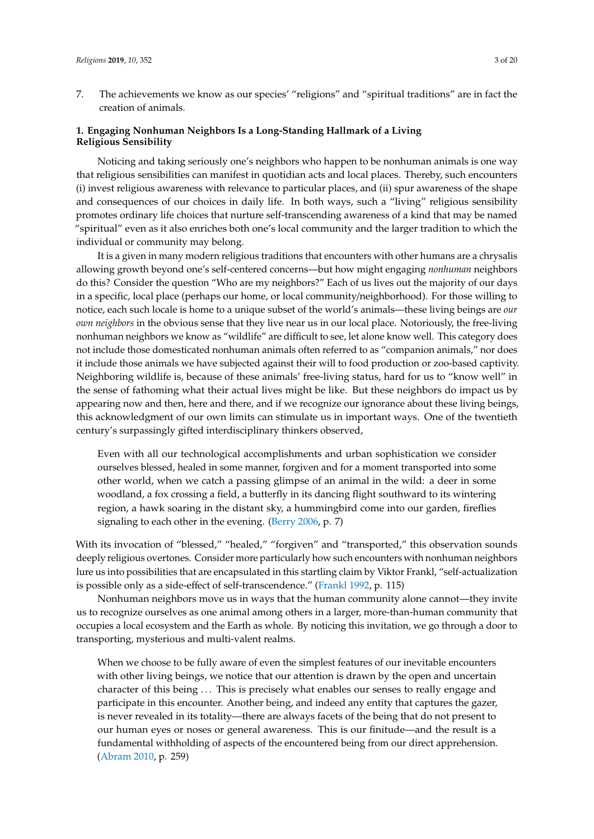7. The achievements we know as our species' "religions" and "spiritual traditions" are in fact the creation of animals.

# **1. Engaging Nonhuman Neighbors Is a Long-Standing Hallmark of a Living Religious Sensibility**

Noticing and taking seriously one's neighbors who happen to be nonhuman animals is one way that religious sensibilities can manifest in quotidian acts and local places. Thereby, such encounters (i) invest religious awareness with relevance to particular places, and (ii) spur awareness of the shape and consequences of our choices in daily life. In both ways, such a "living" religious sensibility promotes ordinary life choices that nurture self-transcending awareness of a kind that may be named "spiritual" even as it also enriches both one's local community and the larger tradition to which the individual or community may belong.

It is a given in many modern religious traditions that encounters with other humans are a chrysalis allowing growth beyond one's self-centered concerns—but how might engaging *nonhuman* neighbors do this? Consider the question "Who are my neighbors?" Each of us lives out the majority of our days in a specific, local place (perhaps our home, or local community/neighborhood). For those willing to notice, each such locale is home to a unique subset of the world's animals—these living beings are *our own neighbors* in the obvious sense that they live near us in our local place. Notoriously, the free-living nonhuman neighbors we know as "wildlife" are difficult to see, let alone know well. This category does not include those domesticated nonhuman animals often referred to as "companion animals," nor does it include those animals we have subjected against their will to food production or zoo-based captivity. Neighboring wildlife is, because of these animals' free-living status, hard for us to "know well" in the sense of fathoming what their actual lives might be like. But these neighbors do impact us by appearing now and then, here and there, and if we recognize our ignorance about these living beings, this acknowledgment of our own limits can stimulate us in important ways. One of the twentieth century's surpassingly gifted interdisciplinary thinkers observed,

Even with all our technological accomplishments and urban sophistication we consider ourselves blessed, healed in some manner, forgiven and for a moment transported into some other world, when we catch a passing glimpse of an animal in the wild: a deer in some woodland, a fox crossing a field, a butterfly in its dancing flight southward to its wintering region, a hawk soaring in the distant sky, a hummingbird come into our garden, fireflies signaling to each other in the evening. [\(Berry](#page-17-0) [2006,](#page-17-0) p. 7)

With its invocation of "blessed," "healed," "forgiven" and "transported," this observation sounds deeply religious overtones. Consider more particularly how such encounters with nonhuman neighbors lure us into possibilities that are encapsulated in this startling claim by Viktor Frankl, "self-actualization is possible only as a side-effect of self-transcendence." [\(Frankl](#page-18-5) [1992,](#page-18-5) p. 115)

Nonhuman neighbors move us in ways that the human community alone cannot—they invite us to recognize ourselves as one animal among others in a larger, more-than-human community that occupies a local ecosystem and the Earth as whole. By noticing this invitation, we go through a door to transporting, mysterious and multi-valent realms.

When we choose to be fully aware of even the simplest features of our inevitable encounters with other living beings, we notice that our attention is drawn by the open and uncertain character of this being . . . This is precisely what enables our senses to really engage and participate in this encounter. Another being, and indeed any entity that captures the gazer, is never revealed in its totality—there are always facets of the being that do not present to our human eyes or noses or general awareness. This is our finitude—and the result is a fundamental withholding of aspects of the encountered being from our direct apprehension. [\(Abram](#page-17-1) [2010,](#page-17-1) p. 259)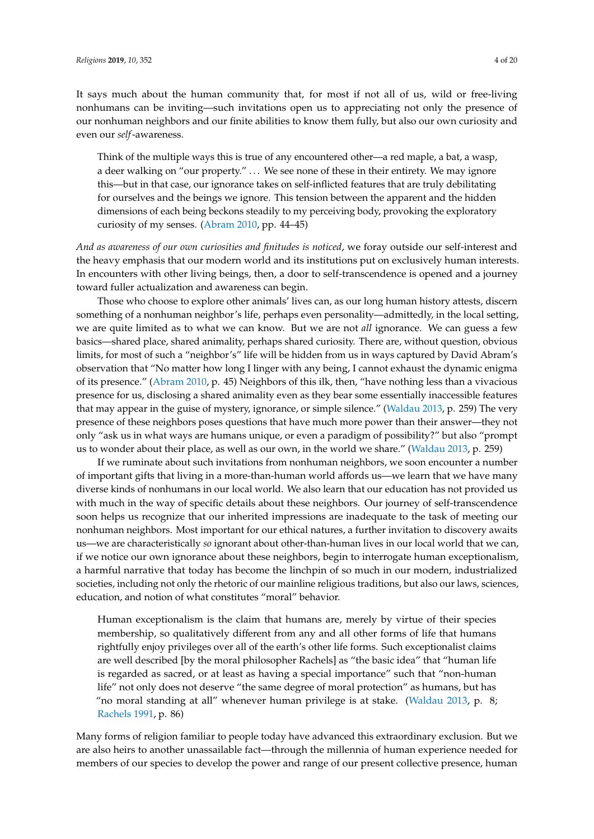It says much about the human community that, for most if not all of us, wild or free-living nonhumans can be inviting—such invitations open us to appreciating not only the presence of our nonhuman neighbors and our finite abilities to know them fully, but also our own curiosity and even our *self*-awareness.

Think of the multiple ways this is true of any encountered other—a red maple, a bat, a wasp, a deer walking on "our property." . . . We see none of these in their entirety. We may ignore this—but in that case, our ignorance takes on self-inflicted features that are truly debilitating for ourselves and the beings we ignore. This tension between the apparent and the hidden dimensions of each being beckons steadily to my perceiving body, provoking the exploratory curiosity of my senses. [\(Abram](#page-17-1) [2010,](#page-17-1) pp. 44–45)

*And as awareness of our own curiosities and finitudes is noticed*, we foray outside our self-interest and the heavy emphasis that our modern world and its institutions put on exclusively human interests. In encounters with other living beings, then, a door to self-transcendence is opened and a journey toward fuller actualization and awareness can begin.

Those who choose to explore other animals' lives can, as our long human history attests, discern something of a nonhuman neighbor's life, perhaps even personality—admittedly, in the local setting, we are quite limited as to what we can know. But we are not *all* ignorance. We can guess a few basics—shared place, shared animality, perhaps shared curiosity. There are, without question, obvious limits, for most of such a "neighbor's" life will be hidden from us in ways captured by David Abram's observation that "No matter how long I linger with any being, I cannot exhaust the dynamic enigma of its presence." [\(Abram](#page-17-1) [2010,](#page-17-1) p. 45) Neighbors of this ilk, then, "have nothing less than a vivacious presence for us, disclosing a shared animality even as they bear some essentially inaccessible features that may appear in the guise of mystery, ignorance, or simple silence." [\(Waldau](#page-19-1) [2013,](#page-19-1) p. 259) The very presence of these neighbors poses questions that have much more power than their answer—they not only "ask us in what ways are humans unique, or even a paradigm of possibility?" but also "prompt us to wonder about their place, as well as our own, in the world we share." [\(Waldau](#page-19-1) [2013,](#page-19-1) p. 259)

If we ruminate about such invitations from nonhuman neighbors, we soon encounter a number of important gifts that living in a more-than-human world affords us—we learn that we have many diverse kinds of nonhumans in our local world. We also learn that our education has not provided us with much in the way of specific details about these neighbors. Our journey of self-transcendence soon helps us recognize that our inherited impressions are inadequate to the task of meeting our nonhuman neighbors. Most important for our ethical natures, a further invitation to discovery awaits us—we are characteristically *so* ignorant about other-than-human lives in our local world that we can, if we notice our own ignorance about these neighbors, begin to interrogate human exceptionalism, a harmful narrative that today has become the linchpin of so much in our modern, industrialized societies, including not only the rhetoric of our mainline religious traditions, but also our laws, sciences, education, and notion of what constitutes "moral" behavior.

Human exceptionalism is the claim that humans are, merely by virtue of their species membership, so qualitatively different from any and all other forms of life that humans rightfully enjoy privileges over all of the earth's other life forms. Such exceptionalist claims are well described [by the moral philosopher Rachels] as "the basic idea" that "human life is regarded as sacred, or at least as having a special importance" such that "non-human life" not only does not deserve "the same degree of moral protection" as humans, but has "no moral standing at all" whenever human privilege is at stake. [\(Waldau](#page-19-1) [2013,](#page-19-1) p. 8; [Rachels](#page-18-6) [1991,](#page-18-6) p. 86)

Many forms of religion familiar to people today have advanced this extraordinary exclusion. But we are also heirs to another unassailable fact—through the millennia of human experience needed for members of our species to develop the power and range of our present collective presence, human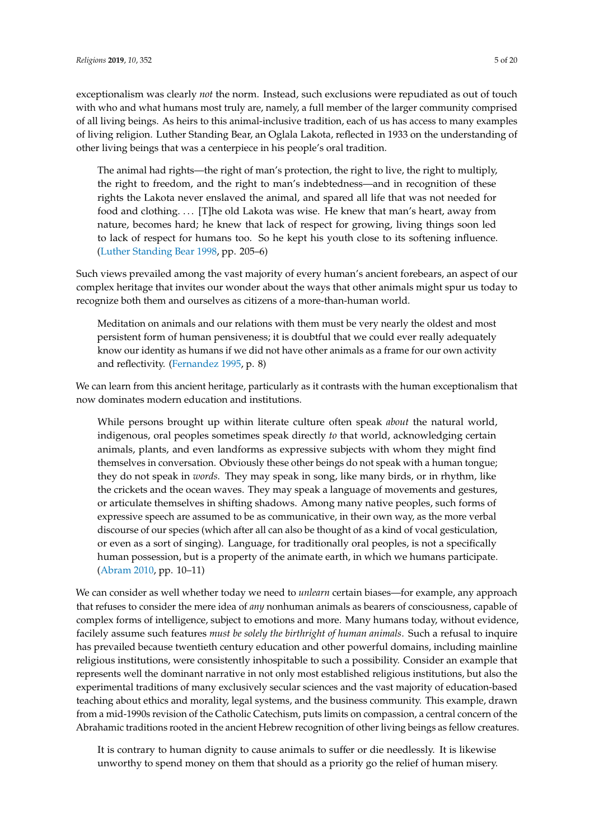exceptionalism was clearly *not* the norm. Instead, such exclusions were repudiated as out of touch with who and what humans most truly are, namely, a full member of the larger community comprised of all living beings. As heirs to this animal-inclusive tradition, each of us has access to many examples of living religion. Luther Standing Bear, an Oglala Lakota, reflected in 1933 on the understanding of other living beings that was a centerpiece in his people's oral tradition.

The animal had rights—the right of man's protection, the right to live, the right to multiply, the right to freedom, and the right to man's indebtedness—and in recognition of these rights the Lakota never enslaved the animal, and spared all life that was not needed for food and clothing. . . . [T]he old Lakota was wise. He knew that man's heart, away from nature, becomes hard; he knew that lack of respect for growing, living things soon led to lack of respect for humans too. So he kept his youth close to its softening influence. [\(Luther Standing Bear](#page-18-7) [1998,](#page-18-7) pp. 205–6)

Such views prevailed among the vast majority of every human's ancient forebears, an aspect of our complex heritage that invites our wonder about the ways that other animals might spur us today to recognize both them and ourselves as citizens of a more-than-human world.

Meditation on animals and our relations with them must be very nearly the oldest and most persistent form of human pensiveness; it is doubtful that we could ever really adequately know our identity as humans if we did not have other animals as a frame for our own activity and reflectivity. [\(Fernandez](#page-18-8) [1995,](#page-18-8) p. 8)

We can learn from this ancient heritage, particularly as it contrasts with the human exceptionalism that now dominates modern education and institutions.

While persons brought up within literate culture often speak *about* the natural world, indigenous, oral peoples sometimes speak directly *to* that world, acknowledging certain animals, plants, and even landforms as expressive subjects with whom they might find themselves in conversation. Obviously these other beings do not speak with a human tongue; they do not speak in *words.* They may speak in song, like many birds, or in rhythm, like the crickets and the ocean waves. They may speak a language of movements and gestures, or articulate themselves in shifting shadows. Among many native peoples, such forms of expressive speech are assumed to be as communicative, in their own way, as the more verbal discourse of our species (which after all can also be thought of as a kind of vocal gesticulation, or even as a sort of singing). Language, for traditionally oral peoples, is not a specifically human possession, but is a property of the animate earth, in which we humans participate. [\(Abram](#page-17-1) [2010,](#page-17-1) pp. 10–11)

We can consider as well whether today we need to *unlearn* certain biases—for example, any approach that refuses to consider the mere idea of *any* nonhuman animals as bearers of consciousness, capable of complex forms of intelligence, subject to emotions and more. Many humans today, without evidence, facilely assume such features *must be solely the birthright of human animals*. Such a refusal to inquire has prevailed because twentieth century education and other powerful domains, including mainline religious institutions, were consistently inhospitable to such a possibility. Consider an example that represents well the dominant narrative in not only most established religious institutions, but also the experimental traditions of many exclusively secular sciences and the vast majority of education-based teaching about ethics and morality, legal systems, and the business community. This example, drawn from a mid-1990s revision of the Catholic Catechism, puts limits on compassion, a central concern of the Abrahamic traditions rooted in the ancient Hebrew recognition of other living beings as fellow creatures.

It is contrary to human dignity to cause animals to suffer or die needlessly. It is likewise unworthy to spend money on them that should as a priority go the relief of human misery.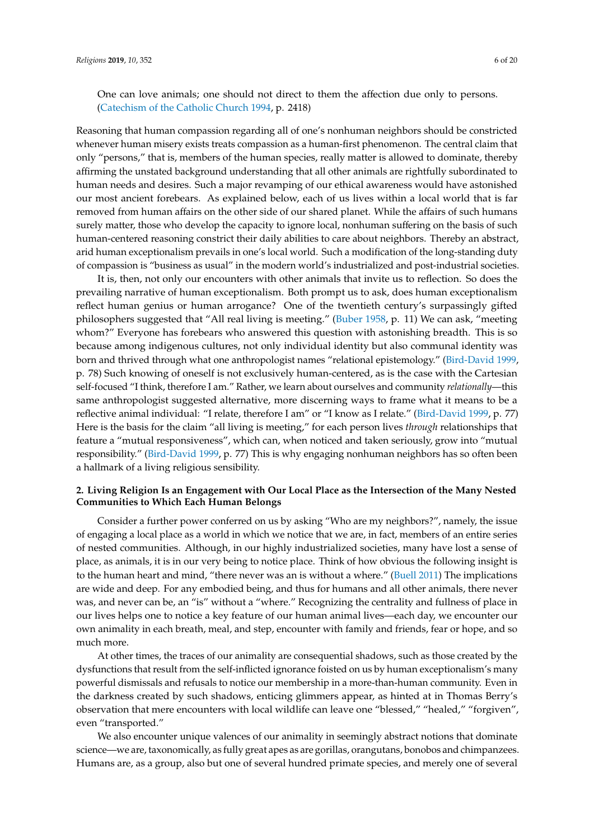One can love animals; one should not direct to them the affection due only to persons. [\(Catechism of the Catholic Church](#page-18-9) [1994,](#page-18-9) p. 2418)

Reasoning that human compassion regarding all of one's nonhuman neighbors should be constricted whenever human misery exists treats compassion as a human-first phenomenon. The central claim that only "persons," that is, members of the human species, really matter is allowed to dominate, thereby affirming the unstated background understanding that all other animals are rightfully subordinated to human needs and desires. Such a major revamping of our ethical awareness would have astonished our most ancient forebears. As explained below, each of us lives within a local world that is far removed from human affairs on the other side of our shared planet. While the affairs of such humans surely matter, those who develop the capacity to ignore local, nonhuman suffering on the basis of such human-centered reasoning constrict their daily abilities to care about neighbors. Thereby an abstract, arid human exceptionalism prevails in one's local world. Such a modification of the long-standing duty of compassion is "business as usual" in the modern world's industrialized and post-industrial societies.

It is, then, not only our encounters with other animals that invite us to reflection. So does the prevailing narrative of human exceptionalism. Both prompt us to ask, does human exceptionalism reflect human genius or human arrogance? One of the twentieth century's surpassingly gifted philosophers suggested that "All real living is meeting." [\(Buber](#page-17-2) [1958,](#page-17-2) p. 11) We can ask, "meeting whom?" Everyone has forebears who answered this question with astonishing breadth. This is so because among indigenous cultures, not only individual identity but also communal identity was born and thrived through what one anthropologist names "relational epistemology." [\(Bird-David](#page-17-3) [1999,](#page-17-3) p. 78) Such knowing of oneself is not exclusively human-centered, as is the case with the Cartesian self-focused "I think, therefore I am." Rather, we learn about ourselves and community *relationally*—this same anthropologist suggested alternative, more discerning ways to frame what it means to be a reflective animal individual: "I relate, therefore I am" or "I know as I relate." [\(Bird-David](#page-17-3) [1999,](#page-17-3) p. 77) Here is the basis for the claim "all living is meeting," for each person lives *through* relationships that feature a "mutual responsiveness", which can, when noticed and taken seriously, grow into "mutual responsibility." [\(Bird-David](#page-17-3) [1999,](#page-17-3) p. 77) This is why engaging nonhuman neighbors has so often been a hallmark of a living religious sensibility.

### **2. Living Religion Is an Engagement with Our Local Place as the Intersection of the Many Nested Communities to Which Each Human Belongs**

Consider a further power conferred on us by asking "Who are my neighbors?", namely, the issue of engaging a local place as a world in which we notice that we are, in fact, members of an entire series of nested communities. Although, in our highly industrialized societies, many have lost a sense of place, as animals, it is in our very being to notice place. Think of how obvious the following insight is to the human heart and mind, "there never was an is without a where." [\(Buell](#page-18-10) [2011\)](#page-18-10) The implications are wide and deep. For any embodied being, and thus for humans and all other animals, there never was, and never can be, an "is" without a "where." Recognizing the centrality and fullness of place in our lives helps one to notice a key feature of our human animal lives—each day, we encounter our own animality in each breath, meal, and step, encounter with family and friends, fear or hope, and so much more.

At other times, the traces of our animality are consequential shadows, such as those created by the dysfunctions that result from the self-inflicted ignorance foisted on us by human exceptionalism's many powerful dismissals and refusals to notice our membership in a more-than-human community. Even in the darkness created by such shadows, enticing glimmers appear, as hinted at in Thomas Berry's observation that mere encounters with local wildlife can leave one "blessed," "healed," "forgiven", even "transported."

We also encounter unique valences of our animality in seemingly abstract notions that dominate science—we are, taxonomically, as fully great apes as are gorillas, orangutans, bonobos and chimpanzees. Humans are, as a group, also but one of several hundred primate species, and merely one of several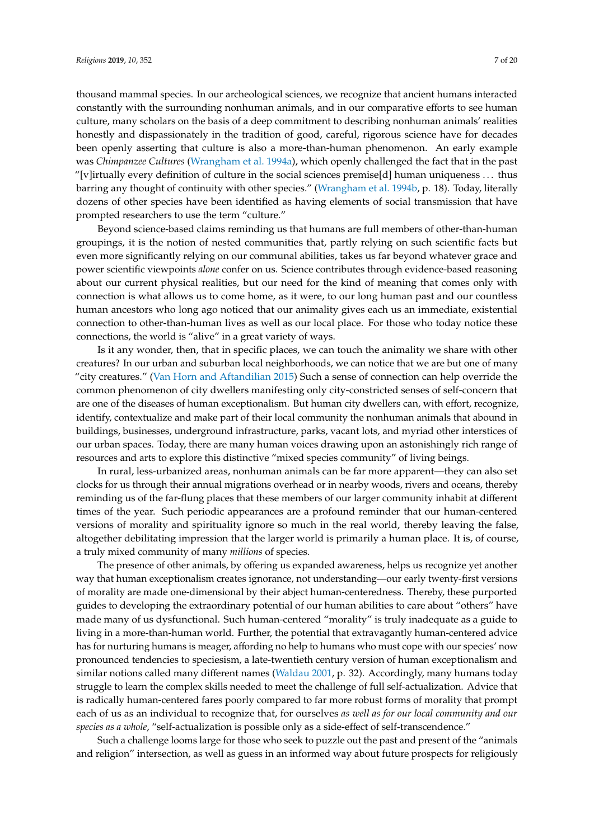thousand mammal species. In our archeological sciences, we recognize that ancient humans interacted constantly with the surrounding nonhuman animals, and in our comparative efforts to see human culture, many scholars on the basis of a deep commitment to describing nonhuman animals' realities honestly and dispassionately in the tradition of good, careful, rigorous science have for decades been openly asserting that culture is also a more-than-human phenomenon. An early example was *Chimpanzee Cultures* [\(Wrangham et al.](#page-19-2) [1994a\)](#page-19-2), which openly challenged the fact that in the past "[v]irtually every definition of culture in the social sciences premise[d] human uniqueness ... thus barring any thought of continuity with other species." [\(Wrangham et al.](#page-19-3) [1994b,](#page-19-3) p. 18). Today, literally dozens of other species have been identified as having elements of social transmission that have prompted researchers to use the term "culture."

Beyond science-based claims reminding us that humans are full members of other-than-human groupings, it is the notion of nested communities that, partly relying on such scientific facts but even more significantly relying on our communal abilities, takes us far beyond whatever grace and power scientific viewpoints *alone* confer on us. Science contributes through evidence-based reasoning about our current physical realities, but our need for the kind of meaning that comes only with connection is what allows us to come home, as it were, to our long human past and our countless human ancestors who long ago noticed that our animality gives each us an immediate, existential connection to other-than-human lives as well as our local place. For those who today notice these connections, the world is "alive" in a great variety of ways.

Is it any wonder, then, that in specific places, we can touch the animality we share with other creatures? In our urban and suburban local neighborhoods, we can notice that we are but one of many "city creatures." [\(Van Horn and Aftandilian](#page-19-4) [2015\)](#page-19-4) Such a sense of connection can help override the common phenomenon of city dwellers manifesting only city-constricted senses of self-concern that are one of the diseases of human exceptionalism. But human city dwellers can, with effort, recognize, identify, contextualize and make part of their local community the nonhuman animals that abound in buildings, businesses, underground infrastructure, parks, vacant lots, and myriad other interstices of our urban spaces. Today, there are many human voices drawing upon an astonishingly rich range of resources and arts to explore this distinctive "mixed species community" of living beings.

In rural, less-urbanized areas, nonhuman animals can be far more apparent—they can also set clocks for us through their annual migrations overhead or in nearby woods, rivers and oceans, thereby reminding us of the far-flung places that these members of our larger community inhabit at different times of the year. Such periodic appearances are a profound reminder that our human-centered versions of morality and spirituality ignore so much in the real world, thereby leaving the false, altogether debilitating impression that the larger world is primarily a human place. It is, of course, a truly mixed community of many *millions* of species.

The presence of other animals, by offering us expanded awareness, helps us recognize yet another way that human exceptionalism creates ignorance, not understanding—our early twenty-first versions of morality are made one-dimensional by their abject human-centeredness. Thereby, these purported guides to developing the extraordinary potential of our human abilities to care about "others" have made many of us dysfunctional. Such human-centered "morality" is truly inadequate as a guide to living in a more-than-human world. Further, the potential that extravagantly human-centered advice has for nurturing humans is meager, affording no help to humans who must cope with our species' now pronounced tendencies to speciesism, a late-twentieth century version of human exceptionalism and similar notions called many different names [\(Waldau](#page-19-5) [2001,](#page-19-5) p. 32). Accordingly, many humans today struggle to learn the complex skills needed to meet the challenge of full self-actualization. Advice that is radically human-centered fares poorly compared to far more robust forms of morality that prompt each of us as an individual to recognize that, for ourselves *as well as for our local community and our species as a whole*, "self-actualization is possible only as a side-effect of self-transcendence."

Such a challenge looms large for those who seek to puzzle out the past and present of the "animals and religion" intersection, as well as guess in an informed way about future prospects for religiously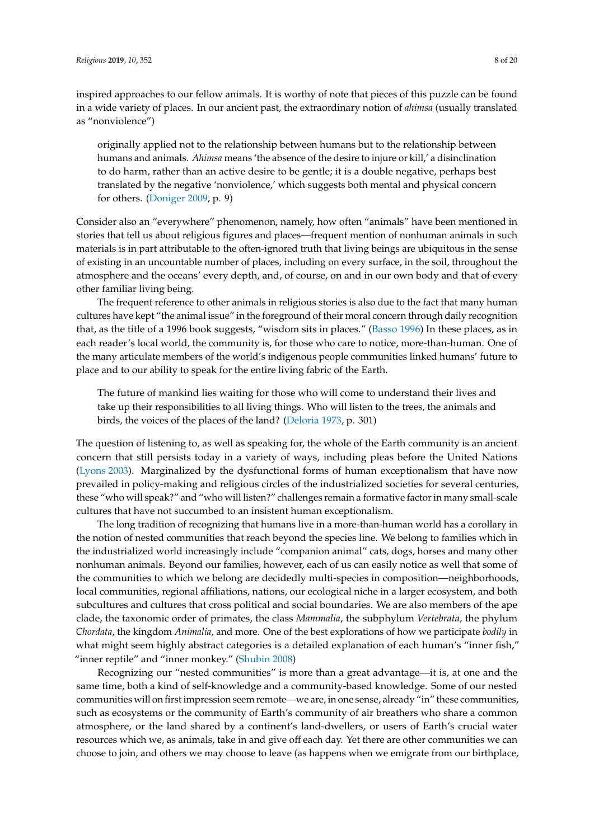inspired approaches to our fellow animals. It is worthy of note that pieces of this puzzle can be found in a wide variety of places. In our ancient past, the extraordinary notion of *ahimsa* (usually translated as "nonviolence")

originally applied not to the relationship between humans but to the relationship between humans and animals. *Ahimsa* means 'the absence of the desire to injure or kill,' a disinclination to do harm, rather than an active desire to be gentle; it is a double negative, perhaps best translated by the negative 'nonviolence,' which suggests both mental and physical concern for others. [\(Doniger](#page-18-11) [2009,](#page-18-11) p. 9)

Consider also an "everywhere" phenomenon, namely, how often "animals" have been mentioned in stories that tell us about religious figures and places—frequent mention of nonhuman animals in such materials is in part attributable to the often-ignored truth that living beings are ubiquitous in the sense of existing in an uncountable number of places, including on every surface, in the soil, throughout the atmosphere and the oceans' every depth, and, of course, on and in our own body and that of every other familiar living being.

The frequent reference to other animals in religious stories is also due to the fact that many human cultures have kept "the animal issue" in the foreground of their moral concern through daily recognition that, as the title of a 1996 book suggests, "wisdom sits in places." [\(Basso](#page-17-4) [1996\)](#page-17-4) In these places, as in each reader's local world, the community is, for those who care to notice, more-than-human. One of the many articulate members of the world's indigenous people communities linked humans' future to place and to our ability to speak for the entire living fabric of the Earth.

The future of mankind lies waiting for those who will come to understand their lives and take up their responsibilities to all living things. Who will listen to the trees, the animals and birds, the voices of the places of the land? [\(Deloria](#page-18-12) [1973,](#page-18-12) p. 301)

The question of listening to, as well as speaking for, the whole of the Earth community is an ancient concern that still persists today in a variety of ways, including pleas before the United Nations [\(Lyons](#page-18-13) [2003\)](#page-18-13). Marginalized by the dysfunctional forms of human exceptionalism that have now prevailed in policy-making and religious circles of the industrialized societies for several centuries, these "who will speak?" and "who will listen?" challenges remain a formative factor in many small-scale cultures that have not succumbed to an insistent human exceptionalism.

The long tradition of recognizing that humans live in a more-than-human world has a corollary in the notion of nested communities that reach beyond the species line. We belong to families which in the industrialized world increasingly include "companion animal" cats, dogs, horses and many other nonhuman animals. Beyond our families, however, each of us can easily notice as well that some of the communities to which we belong are decidedly multi-species in composition—neighborhoods, local communities, regional affiliations, nations, our ecological niche in a larger ecosystem, and both subcultures and cultures that cross political and social boundaries. We are also members of the ape clade, the taxonomic order of primates, the class *Mammalia*, the subphylum *Vertebrata*, the phylum *Chordata*, the kingdom *Animalia*, and more. One of the best explorations of how we participate *bodily* in what might seem highly abstract categories is a detailed explanation of each human's "inner fish," "inner reptile" and "inner monkey." [\(Shubin](#page-18-14) [2008\)](#page-18-14)

Recognizing our "nested communities" is more than a great advantage—it is, at one and the same time, both a kind of self-knowledge and a community-based knowledge. Some of our nested communities will on first impression seem remote—we are, in one sense, already "in" these communities, such as ecosystems or the community of Earth's community of air breathers who share a common atmosphere, or the land shared by a continent's land-dwellers, or users of Earth's crucial water resources which we, as animals, take in and give off each day. Yet there are other communities we can choose to join, and others we may choose to leave (as happens when we emigrate from our birthplace,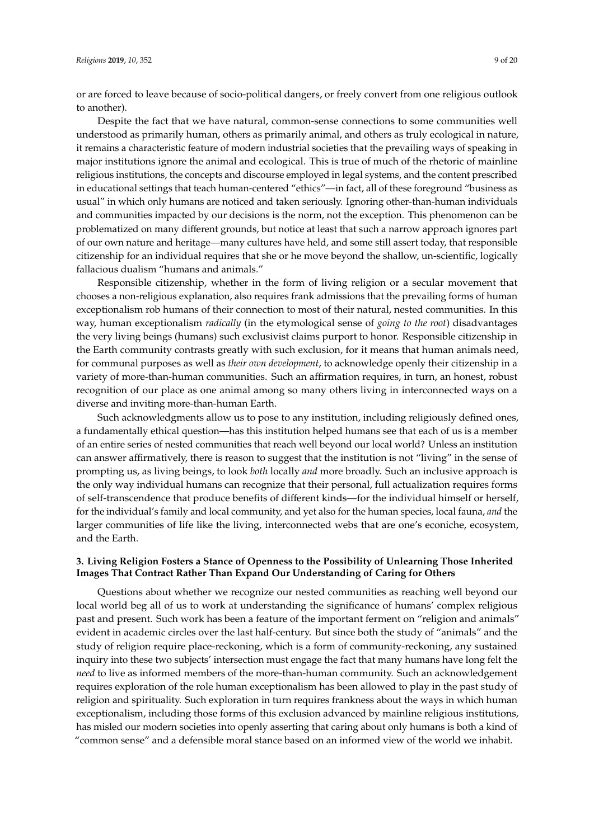or are forced to leave because of socio-political dangers, or freely convert from one religious outlook to another).

Despite the fact that we have natural, common-sense connections to some communities well understood as primarily human, others as primarily animal, and others as truly ecological in nature, it remains a characteristic feature of modern industrial societies that the prevailing ways of speaking in major institutions ignore the animal and ecological. This is true of much of the rhetoric of mainline religious institutions, the concepts and discourse employed in legal systems, and the content prescribed in educational settings that teach human-centered "ethics"—in fact, all of these foreground "business as usual" in which only humans are noticed and taken seriously. Ignoring other-than-human individuals and communities impacted by our decisions is the norm, not the exception. This phenomenon can be problematized on many different grounds, but notice at least that such a narrow approach ignores part of our own nature and heritage—many cultures have held, and some still assert today, that responsible citizenship for an individual requires that she or he move beyond the shallow, un-scientific, logically fallacious dualism "humans and animals."

Responsible citizenship, whether in the form of living religion or a secular movement that chooses a non-religious explanation, also requires frank admissions that the prevailing forms of human exceptionalism rob humans of their connection to most of their natural, nested communities. In this way, human exceptionalism *radically* (in the etymological sense of *going to the root*) disadvantages the very living beings (humans) such exclusivist claims purport to honor. Responsible citizenship in the Earth community contrasts greatly with such exclusion, for it means that human animals need, for communal purposes as well as *their own development*, to acknowledge openly their citizenship in a variety of more-than-human communities. Such an affirmation requires, in turn, an honest, robust recognition of our place as one animal among so many others living in interconnected ways on a diverse and inviting more-than-human Earth.

Such acknowledgments allow us to pose to any institution, including religiously defined ones, a fundamentally ethical question—has this institution helped humans see that each of us is a member of an entire series of nested communities that reach well beyond our local world? Unless an institution can answer affirmatively, there is reason to suggest that the institution is not "living" in the sense of prompting us, as living beings, to look *both* locally *and* more broadly. Such an inclusive approach is the only way individual humans can recognize that their personal, full actualization requires forms of self-transcendence that produce benefits of different kinds—for the individual himself or herself, for the individual's family and local community, and yet also for the human species, local fauna, *and* the larger communities of life like the living, interconnected webs that are one's econiche, ecosystem, and the Earth.

### **3. Living Religion Fosters a Stance of Openness to the Possibility of Unlearning Those Inherited Images That Contract Rather Than Expand Our Understanding of Caring for Others**

Questions about whether we recognize our nested communities as reaching well beyond our local world beg all of us to work at understanding the significance of humans' complex religious past and present. Such work has been a feature of the important ferment on "religion and animals" evident in academic circles over the last half-century. But since both the study of "animals" and the study of religion require place-reckoning, which is a form of community-reckoning, any sustained inquiry into these two subjects' intersection must engage the fact that many humans have long felt the *need* to live as informed members of the more-than-human community. Such an acknowledgement requires exploration of the role human exceptionalism has been allowed to play in the past study of religion and spirituality. Such exploration in turn requires frankness about the ways in which human exceptionalism, including those forms of this exclusion advanced by mainline religious institutions, has misled our modern societies into openly asserting that caring about only humans is both a kind of "common sense" and a defensible moral stance based on an informed view of the world we inhabit.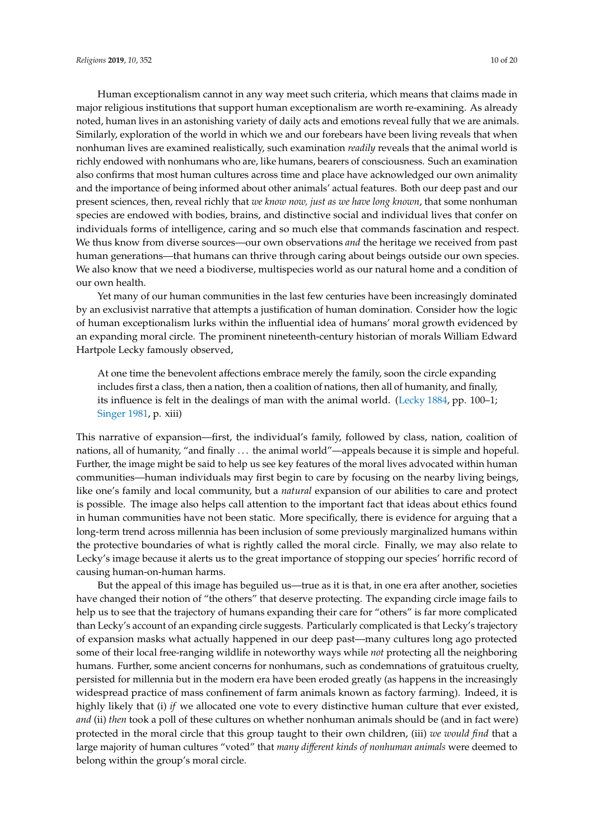Human exceptionalism cannot in any way meet such criteria, which means that claims made in major religious institutions that support human exceptionalism are worth re-examining. As already noted, human lives in an astonishing variety of daily acts and emotions reveal fully that we are animals. Similarly, exploration of the world in which we and our forebears have been living reveals that when nonhuman lives are examined realistically, such examination *readily* reveals that the animal world is richly endowed with nonhumans who are, like humans, bearers of consciousness. Such an examination also confirms that most human cultures across time and place have acknowledged our own animality and the importance of being informed about other animals' actual features. Both our deep past and our present sciences, then, reveal richly that *we know now, just as we have long known*, that some nonhuman species are endowed with bodies, brains, and distinctive social and individual lives that confer on individuals forms of intelligence, caring and so much else that commands fascination and respect. We thus know from diverse sources—our own observations *and* the heritage we received from past human generations—that humans can thrive through caring about beings outside our own species. We also know that we need a biodiverse, multispecies world as our natural home and a condition of our own health.

Yet many of our human communities in the last few centuries have been increasingly dominated by an exclusivist narrative that attempts a justification of human domination. Consider how the logic of human exceptionalism lurks within the influential idea of humans' moral growth evidenced by an expanding moral circle. The prominent nineteenth-century historian of morals William Edward Hartpole Lecky famously observed,

At one time the benevolent affections embrace merely the family, soon the circle expanding includes first a class, then a nation, then a coalition of nations, then all of humanity, and finally, its influence is felt in the dealings of man with the animal world. [\(Lecky](#page-18-15) [1884,](#page-18-15) pp. 100–1; [Singer](#page-18-16) [1981,](#page-18-16) p. xiii)

This narrative of expansion—first, the individual's family, followed by class, nation, coalition of nations, all of humanity, "and finally . . . the animal world"—appeals because it is simple and hopeful. Further, the image might be said to help us see key features of the moral lives advocated within human communities—human individuals may first begin to care by focusing on the nearby living beings, like one's family and local community, but a *natural* expansion of our abilities to care and protect is possible. The image also helps call attention to the important fact that ideas about ethics found in human communities have not been static. More specifically, there is evidence for arguing that a long-term trend across millennia has been inclusion of some previously marginalized humans within the protective boundaries of what is rightly called the moral circle. Finally, we may also relate to Lecky's image because it alerts us to the great importance of stopping our species' horrific record of causing human-on-human harms.

But the appeal of this image has beguiled us—true as it is that, in one era after another, societies have changed their notion of "the others" that deserve protecting. The expanding circle image fails to help us to see that the trajectory of humans expanding their care for "others" is far more complicated than Lecky's account of an expanding circle suggests. Particularly complicated is that Lecky's trajectory of expansion masks what actually happened in our deep past—many cultures long ago protected some of their local free-ranging wildlife in noteworthy ways while *not* protecting all the neighboring humans. Further, some ancient concerns for nonhumans, such as condemnations of gratuitous cruelty, persisted for millennia but in the modern era have been eroded greatly (as happens in the increasingly widespread practice of mass confinement of farm animals known as factory farming). Indeed, it is highly likely that (i) *if* we allocated one vote to every distinctive human culture that ever existed, *and* (ii) *then* took a poll of these cultures on whether nonhuman animals should be (and in fact were) protected in the moral circle that this group taught to their own children, (iii) *we would find* that a large majority of human cultures "voted" that *many di*ff*erent kinds of nonhuman animals* were deemed to belong within the group's moral circle.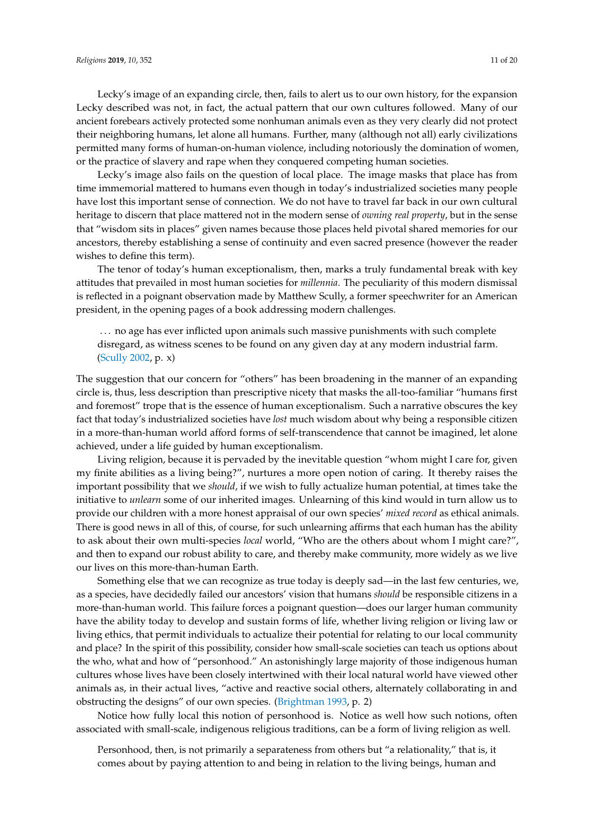Lecky's image of an expanding circle, then, fails to alert us to our own history, for the expansion Lecky described was not, in fact, the actual pattern that our own cultures followed. Many of our ancient forebears actively protected some nonhuman animals even as they very clearly did not protect their neighboring humans, let alone all humans. Further, many (although not all) early civilizations permitted many forms of human-on-human violence, including notoriously the domination of women, or the practice of slavery and rape when they conquered competing human societies.

Lecky's image also fails on the question of local place. The image masks that place has from time immemorial mattered to humans even though in today's industrialized societies many people have lost this important sense of connection. We do not have to travel far back in our own cultural heritage to discern that place mattered not in the modern sense of *owning real property*, but in the sense that "wisdom sits in places" given names because those places held pivotal shared memories for our ancestors, thereby establishing a sense of continuity and even sacred presence (however the reader wishes to define this term).

The tenor of today's human exceptionalism, then, marks a truly fundamental break with key attitudes that prevailed in most human societies for *millennia*. The peculiarity of this modern dismissal is reflected in a poignant observation made by Matthew Scully, a former speechwriter for an American president, in the opening pages of a book addressing modern challenges.

. . . no age has ever inflicted upon animals such massive punishments with such complete disregard, as witness scenes to be found on any given day at any modern industrial farm. [\(Scully](#page-18-17) [2002,](#page-18-17) p. x)

The suggestion that our concern for "others" has been broadening in the manner of an expanding circle is, thus, less description than prescriptive nicety that masks the all-too-familiar "humans first and foremost" trope that is the essence of human exceptionalism. Such a narrative obscures the key fact that today's industrialized societies have *lost* much wisdom about why being a responsible citizen in a more-than-human world afford forms of self-transcendence that cannot be imagined, let alone achieved, under a life guided by human exceptionalism.

Living religion, because it is pervaded by the inevitable question "whom might I care for, given my finite abilities as a living being?", nurtures a more open notion of caring. It thereby raises the important possibility that we *should*, if we wish to fully actualize human potential, at times take the initiative to *unlearn* some of our inherited images. Unlearning of this kind would in turn allow us to provide our children with a more honest appraisal of our own species' *mixed record* as ethical animals. There is good news in all of this, of course, for such unlearning affirms that each human has the ability to ask about their own multi-species *local* world, "Who are the others about whom I might care?", and then to expand our robust ability to care, and thereby make community, more widely as we live our lives on this more-than-human Earth.

Something else that we can recognize as true today is deeply sad—in the last few centuries, we, as a species, have decidedly failed our ancestors' vision that humans *should* be responsible citizens in a more-than-human world. This failure forces a poignant question—does our larger human community have the ability today to develop and sustain forms of life, whether living religion or living law or living ethics, that permit individuals to actualize their potential for relating to our local community and place? In the spirit of this possibility, consider how small-scale societies can teach us options about the who, what and how of "personhood." An astonishingly large majority of those indigenous human cultures whose lives have been closely intertwined with their local natural world have viewed other animals as, in their actual lives, "active and reactive social others, alternately collaborating in and obstructing the designs" of our own species. [\(Brightman](#page-17-5) [1993,](#page-17-5) p. 2)

Notice how fully local this notion of personhood is. Notice as well how such notions, often associated with small-scale, indigenous religious traditions, can be a form of living religion as well.

Personhood, then, is not primarily a separateness from others but "a relationality," that is, it comes about by paying attention to and being in relation to the living beings, human and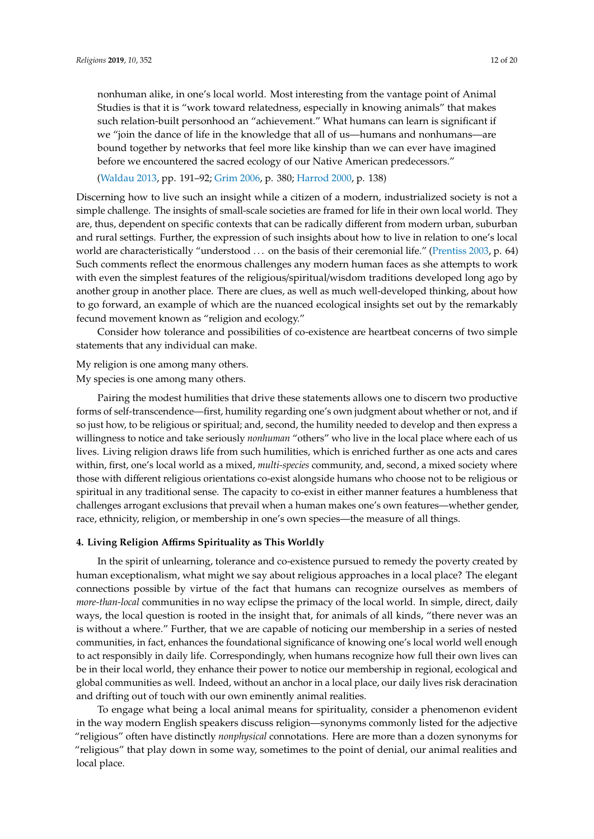nonhuman alike, in one's local world. Most interesting from the vantage point of Animal Studies is that it is "work toward relatedness, especially in knowing animals" that makes such relation-built personhood an "achievement." What humans can learn is significant if we "join the dance of life in the knowledge that all of us—humans and nonhumans—are bound together by networks that feel more like kinship than we can ever have imagined before we encountered the sacred ecology of our Native American predecessors."

[\(Waldau](#page-19-1) [2013,](#page-19-1) pp. 191–92; [Grim](#page-18-18) [2006,](#page-18-18) p. 380; [Harrod](#page-18-19) [2000,](#page-18-19) p. 138)

Discerning how to live such an insight while a citizen of a modern, industrialized society is not a simple challenge. The insights of small-scale societies are framed for life in their own local world. They are, thus, dependent on specific contexts that can be radically different from modern urban, suburban and rural settings. Further, the expression of such insights about how to live in relation to one's local world are characteristically "understood . . . on the basis of their ceremonial life." [\(Prentiss](#page-18-20) [2003,](#page-18-20) p. 64) Such comments reflect the enormous challenges any modern human faces as she attempts to work with even the simplest features of the religious/spiritual/wisdom traditions developed long ago by another group in another place. There are clues, as well as much well-developed thinking, about how to go forward, an example of which are the nuanced ecological insights set out by the remarkably fecund movement known as "religion and ecology."

Consider how tolerance and possibilities of co-existence are heartbeat concerns of two simple statements that any individual can make.

My religion is one among many others. My species is one among many others.

Pairing the modest humilities that drive these statements allows one to discern two productive forms of self-transcendence—first, humility regarding one's own judgment about whether or not, and if so just how, to be religious or spiritual; and, second, the humility needed to develop and then express a willingness to notice and take seriously *nonhuman* "others" who live in the local place where each of us lives. Living religion draws life from such humilities, which is enriched further as one acts and cares within, first, one's local world as a mixed, *multi-species* community, and, second, a mixed society where those with different religious orientations co-exist alongside humans who choose not to be religious or spiritual in any traditional sense. The capacity to co-exist in either manner features a humbleness that challenges arrogant exclusions that prevail when a human makes one's own features—whether gender, race, ethnicity, religion, or membership in one's own species—the measure of all things.

#### **4. Living Religion A**ffi**rms Spirituality as This Worldly**

In the spirit of unlearning, tolerance and co-existence pursued to remedy the poverty created by human exceptionalism, what might we say about religious approaches in a local place? The elegant connections possible by virtue of the fact that humans can recognize ourselves as members of *more-than-local* communities in no way eclipse the primacy of the local world. In simple, direct, daily ways, the local question is rooted in the insight that, for animals of all kinds, "there never was an is without a where." Further, that we are capable of noticing our membership in a series of nested communities, in fact, enhances the foundational significance of knowing one's local world well enough to act responsibly in daily life. Correspondingly, when humans recognize how full their own lives can be in their local world, they enhance their power to notice our membership in regional, ecological and global communities as well. Indeed, without an anchor in a local place, our daily lives risk deracination and drifting out of touch with our own eminently animal realities.

To engage what being a local animal means for spirituality, consider a phenomenon evident in the way modern English speakers discuss religion—synonyms commonly listed for the adjective "religious" often have distinctly *nonphysical* connotations. Here are more than a dozen synonyms for "religious" that play down in some way, sometimes to the point of denial, our animal realities and local place.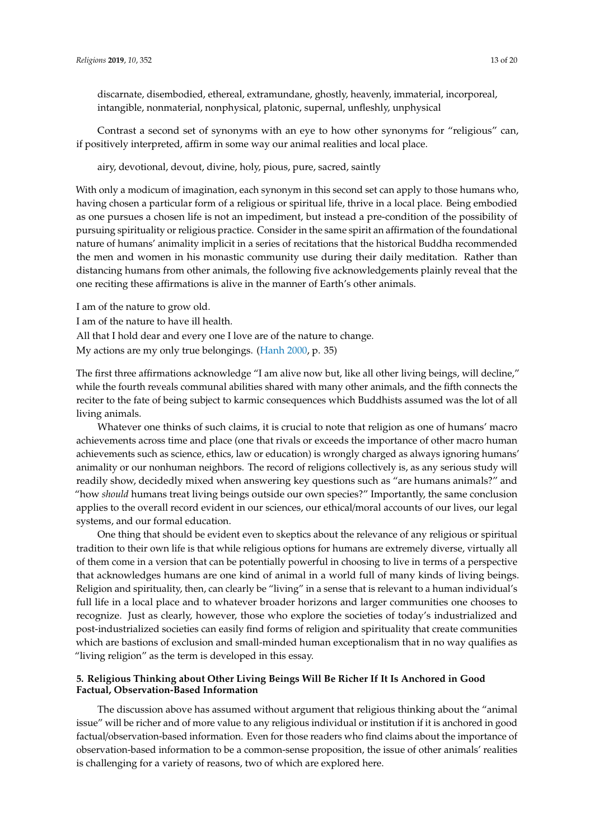discarnate, disembodied, ethereal, extramundane, ghostly, heavenly, immaterial, incorporeal, intangible, nonmaterial, nonphysical, platonic, supernal, unfleshly, unphysical

Contrast a second set of synonyms with an eye to how other synonyms for "religious" can, if positively interpreted, affirm in some way our animal realities and local place.

airy, devotional, devout, divine, holy, pious, pure, sacred, saintly

With only a modicum of imagination, each synonym in this second set can apply to those humans who, having chosen a particular form of a religious or spiritual life, thrive in a local place. Being embodied as one pursues a chosen life is not an impediment, but instead a pre-condition of the possibility of pursuing spirituality or religious practice. Consider in the same spirit an affirmation of the foundational nature of humans' animality implicit in a series of recitations that the historical Buddha recommended the men and women in his monastic community use during their daily meditation. Rather than distancing humans from other animals, the following five acknowledgements plainly reveal that the one reciting these affirmations is alive in the manner of Earth's other animals.

I am of the nature to grow old.

I am of the nature to have ill health.

All that I hold dear and every one I love are of the nature to change.

My actions are my only true belongings. [\(Hanh](#page-18-21) [2000,](#page-18-21) p. 35)

The first three affirmations acknowledge "I am alive now but, like all other living beings, will decline," while the fourth reveals communal abilities shared with many other animals, and the fifth connects the reciter to the fate of being subject to karmic consequences which Buddhists assumed was the lot of all living animals.

Whatever one thinks of such claims, it is crucial to note that religion as one of humans' macro achievements across time and place (one that rivals or exceeds the importance of other macro human achievements such as science, ethics, law or education) is wrongly charged as always ignoring humans' animality or our nonhuman neighbors. The record of religions collectively is, as any serious study will readily show, decidedly mixed when answering key questions such as "are humans animals?" and "how *should* humans treat living beings outside our own species?" Importantly, the same conclusion applies to the overall record evident in our sciences, our ethical/moral accounts of our lives, our legal systems, and our formal education.

One thing that should be evident even to skeptics about the relevance of any religious or spiritual tradition to their own life is that while religious options for humans are extremely diverse, virtually all of them come in a version that can be potentially powerful in choosing to live in terms of a perspective that acknowledges humans are one kind of animal in a world full of many kinds of living beings. Religion and spirituality, then, can clearly be "living" in a sense that is relevant to a human individual's full life in a local place and to whatever broader horizons and larger communities one chooses to recognize. Just as clearly, however, those who explore the societies of today's industrialized and post-industrialized societies can easily find forms of religion and spirituality that create communities which are bastions of exclusion and small-minded human exceptionalism that in no way qualifies as "living religion" as the term is developed in this essay.

### **5. Religious Thinking about Other Living Beings Will Be Richer If It Is Anchored in Good Factual, Observation-Based Information**

The discussion above has assumed without argument that religious thinking about the "animal issue" will be richer and of more value to any religious individual or institution if it is anchored in good factual/observation-based information. Even for those readers who find claims about the importance of observation-based information to be a common-sense proposition, the issue of other animals' realities is challenging for a variety of reasons, two of which are explored here.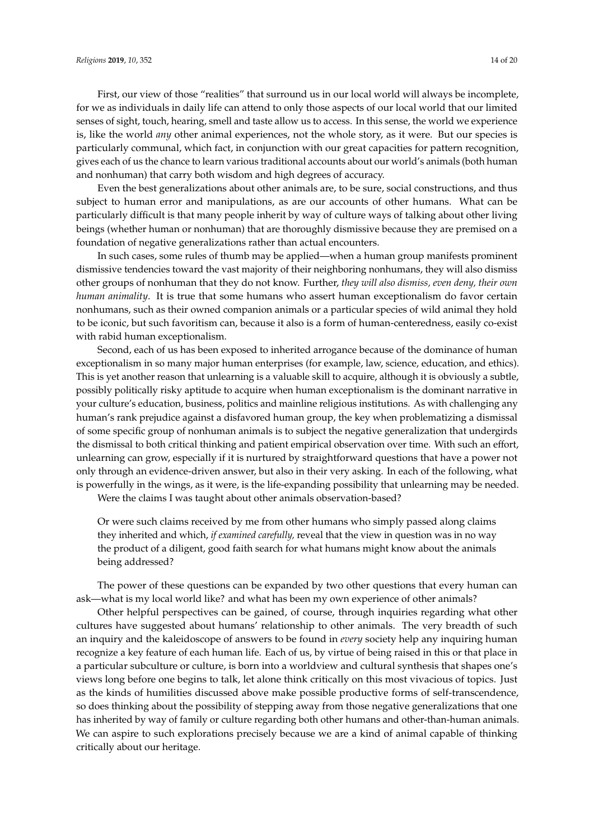First, our view of those "realities" that surround us in our local world will always be incomplete, for we as individuals in daily life can attend to only those aspects of our local world that our limited senses of sight, touch, hearing, smell and taste allow us to access. In this sense, the world we experience is, like the world *any* other animal experiences, not the whole story, as it were. But our species is particularly communal, which fact, in conjunction with our great capacities for pattern recognition, gives each of us the chance to learn various traditional accounts about our world's animals (both human and nonhuman) that carry both wisdom and high degrees of accuracy.

Even the best generalizations about other animals are, to be sure, social constructions, and thus subject to human error and manipulations, as are our accounts of other humans. What can be particularly difficult is that many people inherit by way of culture ways of talking about other living beings (whether human or nonhuman) that are thoroughly dismissive because they are premised on a foundation of negative generalizations rather than actual encounters.

In such cases, some rules of thumb may be applied—when a human group manifests prominent dismissive tendencies toward the vast majority of their neighboring nonhumans, they will also dismiss other groups of nonhuman that they do not know. Further, *they will also dismiss, even deny, their own human animality*. It is true that some humans who assert human exceptionalism do favor certain nonhumans, such as their owned companion animals or a particular species of wild animal they hold to be iconic, but such favoritism can, because it also is a form of human-centeredness, easily co-exist with rabid human exceptionalism.

Second, each of us has been exposed to inherited arrogance because of the dominance of human exceptionalism in so many major human enterprises (for example, law, science, education, and ethics). This is yet another reason that unlearning is a valuable skill to acquire, although it is obviously a subtle, possibly politically risky aptitude to acquire when human exceptionalism is the dominant narrative in your culture's education, business, politics and mainline religious institutions. As with challenging any human's rank prejudice against a disfavored human group, the key when problematizing a dismissal of some specific group of nonhuman animals is to subject the negative generalization that undergirds the dismissal to both critical thinking and patient empirical observation over time. With such an effort, unlearning can grow, especially if it is nurtured by straightforward questions that have a power not only through an evidence-driven answer, but also in their very asking. In each of the following, what is powerfully in the wings, as it were, is the life-expanding possibility that unlearning may be needed. Were the claims I was taught about other animals observation-based?

Or were such claims received by me from other humans who simply passed along claims they inherited and which, *if examined carefully,* reveal that the view in question was in no way the product of a diligent, good faith search for what humans might know about the animals being addressed?

The power of these questions can be expanded by two other questions that every human can ask—what is my local world like? and what has been my own experience of other animals?

Other helpful perspectives can be gained, of course, through inquiries regarding what other cultures have suggested about humans' relationship to other animals. The very breadth of such an inquiry and the kaleidoscope of answers to be found in *every* society help any inquiring human recognize a key feature of each human life. Each of us, by virtue of being raised in this or that place in a particular subculture or culture, is born into a worldview and cultural synthesis that shapes one's views long before one begins to talk, let alone think critically on this most vivacious of topics. Just as the kinds of humilities discussed above make possible productive forms of self-transcendence, so does thinking about the possibility of stepping away from those negative generalizations that one has inherited by way of family or culture regarding both other humans and other-than-human animals. We can aspire to such explorations precisely because we are a kind of animal capable of thinking critically about our heritage.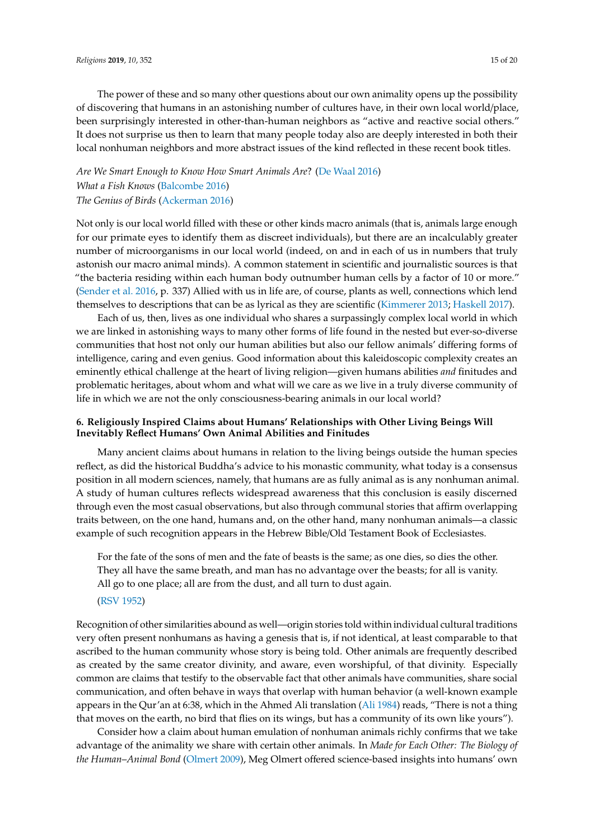The power of these and so many other questions about our own animality opens up the possibility of discovering that humans in an astonishing number of cultures have, in their own local world/place, been surprisingly interested in other-than-human neighbors as "active and reactive social others." It does not surprise us then to learn that many people today also are deeply interested in both their local nonhuman neighbors and more abstract issues of the kind reflected in these recent book titles.

*Are We Smart Enough to Know How Smart Animals Are*? [\(De Waal](#page-18-22) [2016\)](#page-18-22) *What a Fish Knows* [\(Balcombe](#page-17-6) [2016\)](#page-17-6) *The Genius of Birds* [\(Ackerman](#page-17-7) [2016\)](#page-17-7)

Not only is our local world filled with these or other kinds macro animals (that is, animals large enough for our primate eyes to identify them as discreet individuals), but there are an incalculably greater number of microorganisms in our local world (indeed, on and in each of us in numbers that truly astonish our macro animal minds). A common statement in scientific and journalistic sources is that "the bacteria residing within each human body outnumber human cells by a factor of 10 or more." [\(Sender et al.](#page-18-23) [2016,](#page-18-23) p. 337) Allied with us in life are, of course, plants as well, connections which lend themselves to descriptions that can be as lyrical as they are scientific [\(Kimmerer](#page-18-24) [2013;](#page-18-24) [Haskell](#page-18-25) [2017\)](#page-18-25).

Each of us, then, lives as one individual who shares a surpassingly complex local world in which we are linked in astonishing ways to many other forms of life found in the nested but ever-so-diverse communities that host not only our human abilities but also our fellow animals' differing forms of intelligence, caring and even genius. Good information about this kaleidoscopic complexity creates an eminently ethical challenge at the heart of living religion—given humans abilities *and* finitudes and problematic heritages, about whom and what will we care as we live in a truly diverse community of life in which we are not the only consciousness-bearing animals in our local world?

#### **6. Religiously Inspired Claims about Humans' Relationships with Other Living Beings Will Inevitably Reflect Humans' Own Animal Abilities and Finitudes**

Many ancient claims about humans in relation to the living beings outside the human species reflect, as did the historical Buddha's advice to his monastic community, what today is a consensus position in all modern sciences, namely, that humans are as fully animal as is any nonhuman animal. A study of human cultures reflects widespread awareness that this conclusion is easily discerned through even the most casual observations, but also through communal stories that affirm overlapping traits between, on the one hand, humans and, on the other hand, many nonhuman animals—a classic example of such recognition appears in the Hebrew Bible/Old Testament Book of Ecclesiastes.

For the fate of the sons of men and the fate of beasts is the same; as one dies, so dies the other. They all have the same breath, and man has no advantage over the beasts; for all is vanity. All go to one place; all are from the dust, and all turn to dust again. [\(RSV](#page-18-26) [1952\)](#page-18-26)

Recognition of other similarities abound as well—origin stories told within individual cultural traditions very often present nonhumans as having a genesis that is, if not identical, at least comparable to that ascribed to the human community whose story is being told. Other animals are frequently described as created by the same creator divinity, and aware, even worshipful, of that divinity. Especially common are claims that testify to the observable fact that other animals have communities, share social communication, and often behave in ways that overlap with human behavior (a well-known example appears in the Qur'an at 6:38, which in the Ahmed Ali translation [\(Ali](#page-17-8) [1984\)](#page-17-8) reads, "There is not a thing that moves on the earth, no bird that flies on its wings, but has a community of its own like yours").

Consider how a claim about human emulation of nonhuman animals richly confirms that we take advantage of the animality we share with certain other animals. In *Made for Each Other: The Biology of the Human*–*Animal Bond* [\(Olmert](#page-18-27) [2009\)](#page-18-27), Meg Olmert offered science-based insights into humans' own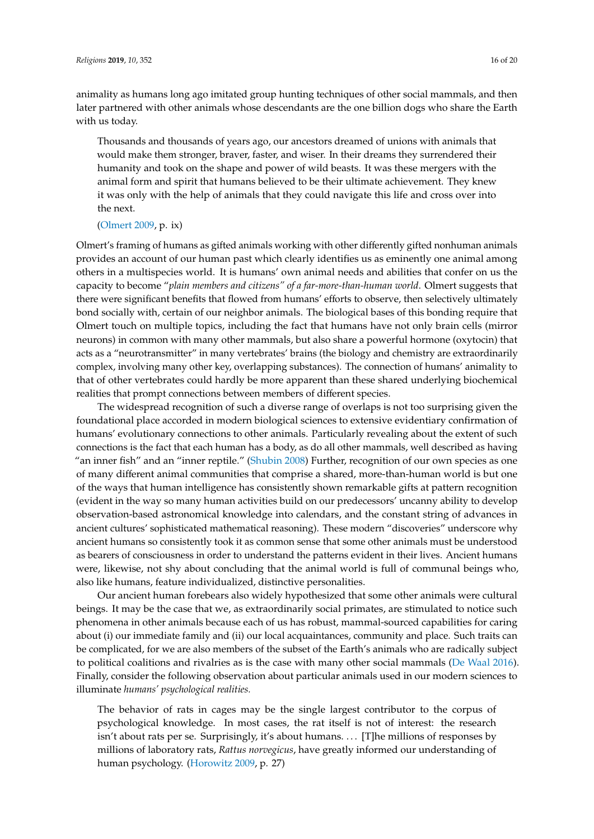animality as humans long ago imitated group hunting techniques of other social mammals, and then later partnered with other animals whose descendants are the one billion dogs who share the Earth with us today.

Thousands and thousands of years ago, our ancestors dreamed of unions with animals that would make them stronger, braver, faster, and wiser. In their dreams they surrendered their humanity and took on the shape and power of wild beasts. It was these mergers with the animal form and spirit that humans believed to be their ultimate achievement. They knew it was only with the help of animals that they could navigate this life and cross over into the next.

[\(Olmert](#page-18-27) [2009,](#page-18-27) p. ix)

Olmert's framing of humans as gifted animals working with other differently gifted nonhuman animals provides an account of our human past which clearly identifies us as eminently one animal among others in a multispecies world. It is humans' own animal needs and abilities that confer on us the capacity to become "*plain members and citizens" of a far-more-than-human world*. Olmert suggests that there were significant benefits that flowed from humans' efforts to observe, then selectively ultimately bond socially with, certain of our neighbor animals. The biological bases of this bonding require that Olmert touch on multiple topics, including the fact that humans have not only brain cells (mirror neurons) in common with many other mammals, but also share a powerful hormone (oxytocin) that acts as a "neurotransmitter" in many vertebrates' brains (the biology and chemistry are extraordinarily complex, involving many other key, overlapping substances). The connection of humans' animality to that of other vertebrates could hardly be more apparent than these shared underlying biochemical realities that prompt connections between members of different species.

The widespread recognition of such a diverse range of overlaps is not too surprising given the foundational place accorded in modern biological sciences to extensive evidentiary confirmation of humans' evolutionary connections to other animals. Particularly revealing about the extent of such connections is the fact that each human has a body, as do all other mammals, well described as having "an inner fish" and an "inner reptile." [\(Shubin](#page-18-14) [2008\)](#page-18-14) Further, recognition of our own species as one of many different animal communities that comprise a shared, more-than-human world is but one of the ways that human intelligence has consistently shown remarkable gifts at pattern recognition (evident in the way so many human activities build on our predecessors' uncanny ability to develop observation-based astronomical knowledge into calendars, and the constant string of advances in ancient cultures' sophisticated mathematical reasoning). These modern "discoveries" underscore why ancient humans so consistently took it as common sense that some other animals must be understood as bearers of consciousness in order to understand the patterns evident in their lives. Ancient humans were, likewise, not shy about concluding that the animal world is full of communal beings who, also like humans, feature individualized, distinctive personalities.

Our ancient human forebears also widely hypothesized that some other animals were cultural beings. It may be the case that we, as extraordinarily social primates, are stimulated to notice such phenomena in other animals because each of us has robust, mammal-sourced capabilities for caring about (i) our immediate family and (ii) our local acquaintances, community and place. Such traits can be complicated, for we are also members of the subset of the Earth's animals who are radically subject to political coalitions and rivalries as is the case with many other social mammals [\(De Waal](#page-18-22) [2016\)](#page-18-22). Finally, consider the following observation about particular animals used in our modern sciences to illuminate *humans' psychological realities.*

The behavior of rats in cages may be the single largest contributor to the corpus of psychological knowledge. In most cases, the rat itself is not of interest: the research isn't about rats per se. Surprisingly, it's about humans.... [T]he millions of responses by millions of laboratory rats, *Rattus norvegicus*, have greatly informed our understanding of human psychology. [\(Horowitz](#page-18-28) [2009,](#page-18-28) p. 27)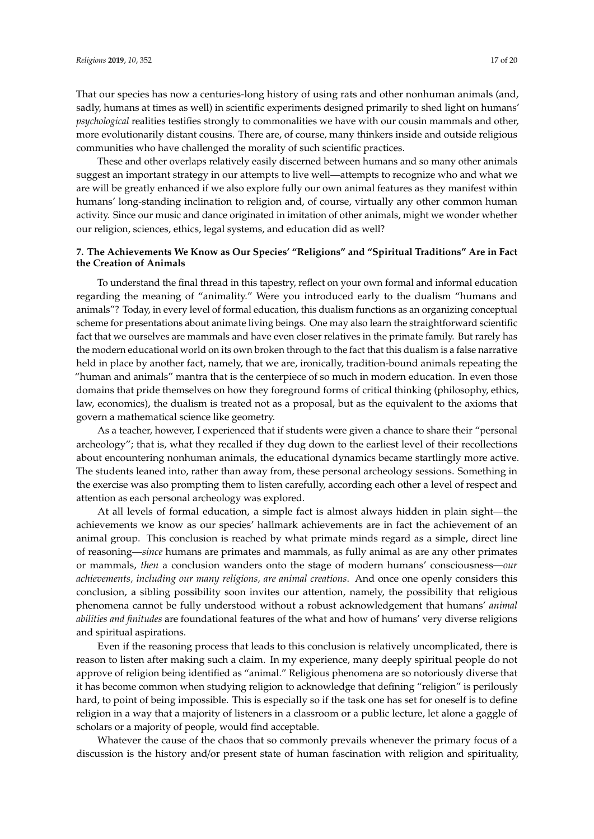That our species has now a centuries-long history of using rats and other nonhuman animals (and, sadly, humans at times as well) in scientific experiments designed primarily to shed light on humans' *psychological* realities testifies strongly to commonalities we have with our cousin mammals and other, more evolutionarily distant cousins. There are, of course, many thinkers inside and outside religious communities who have challenged the morality of such scientific practices.

These and other overlaps relatively easily discerned between humans and so many other animals suggest an important strategy in our attempts to live well—attempts to recognize who and what we are will be greatly enhanced if we also explore fully our own animal features as they manifest within humans' long-standing inclination to religion and, of course, virtually any other common human activity. Since our music and dance originated in imitation of other animals, might we wonder whether our religion, sciences, ethics, legal systems, and education did as well?

## **7. The Achievements We Know as Our Species' "Religions" and "Spiritual Traditions" Are in Fact the Creation of Animals**

To understand the final thread in this tapestry, reflect on your own formal and informal education regarding the meaning of "animality." Were you introduced early to the dualism "humans and animals"? Today, in every level of formal education, this dualism functions as an organizing conceptual scheme for presentations about animate living beings. One may also learn the straightforward scientific fact that we ourselves are mammals and have even closer relatives in the primate family. But rarely has the modern educational world on its own broken through to the fact that this dualism is a false narrative held in place by another fact, namely, that we are, ironically, tradition-bound animals repeating the "human and animals" mantra that is the centerpiece of so much in modern education. In even those domains that pride themselves on how they foreground forms of critical thinking (philosophy, ethics, law, economics), the dualism is treated not as a proposal, but as the equivalent to the axioms that govern a mathematical science like geometry.

As a teacher, however, I experienced that if students were given a chance to share their "personal archeology"; that is, what they recalled if they dug down to the earliest level of their recollections about encountering nonhuman animals, the educational dynamics became startlingly more active. The students leaned into, rather than away from, these personal archeology sessions. Something in the exercise was also prompting them to listen carefully, according each other a level of respect and attention as each personal archeology was explored.

At all levels of formal education, a simple fact is almost always hidden in plain sight—the achievements we know as our species' hallmark achievements are in fact the achievement of an animal group. This conclusion is reached by what primate minds regard as a simple, direct line of reasoning—*since* humans are primates and mammals, as fully animal as are any other primates or mammals, *then* a conclusion wanders onto the stage of modern humans' consciousness—*our achievements, including our many religions, are animal creations*. And once one openly considers this conclusion, a sibling possibility soon invites our attention, namely, the possibility that religious phenomena cannot be fully understood without a robust acknowledgement that humans' *animal abilities and finitudes* are foundational features of the what and how of humans' very diverse religions and spiritual aspirations.

Even if the reasoning process that leads to this conclusion is relatively uncomplicated, there is reason to listen after making such a claim. In my experience, many deeply spiritual people do not approve of religion being identified as "animal." Religious phenomena are so notoriously diverse that it has become common when studying religion to acknowledge that defining "religion" is perilously hard, to point of being impossible. This is especially so if the task one has set for oneself is to define religion in a way that a majority of listeners in a classroom or a public lecture, let alone a gaggle of scholars or a majority of people, would find acceptable.

Whatever the cause of the chaos that so commonly prevails whenever the primary focus of a discussion is the history and/or present state of human fascination with religion and spirituality,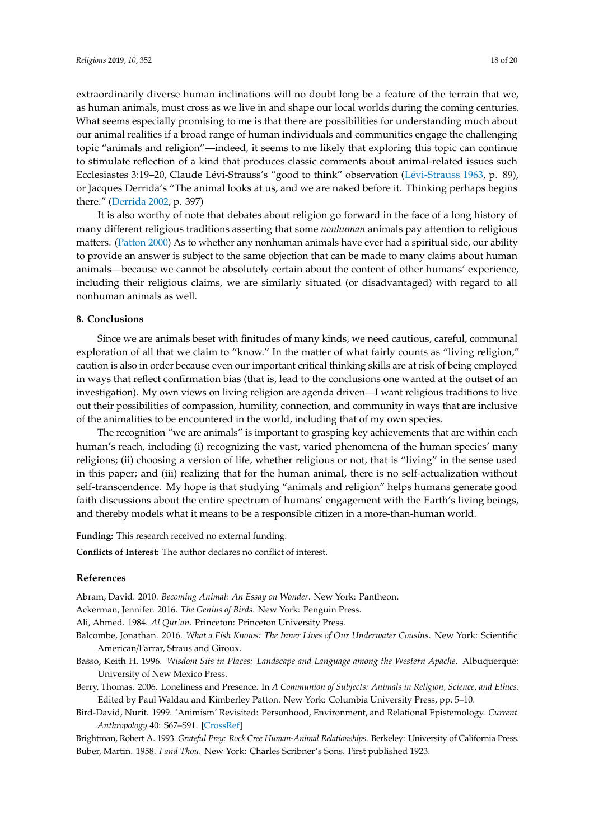extraordinarily diverse human inclinations will no doubt long be a feature of the terrain that we, as human animals, must cross as we live in and shape our local worlds during the coming centuries. What seems especially promising to me is that there are possibilities for understanding much about our animal realities if a broad range of human individuals and communities engage the challenging topic "animals and religion"—indeed, it seems to me likely that exploring this topic can continue to stimulate reflection of a kind that produces classic comments about animal-related issues such Ecclesiastes 3:19–20, Claude Lévi-Strauss's "good to think" observation (Lé[vi-Strauss](#page-18-29) [1963,](#page-18-29) p. 89), or Jacques Derrida's "The animal looks at us, and we are naked before it. Thinking perhaps begins there." [\(Derrida](#page-18-30) [2002,](#page-18-30) p. 397)

It is also worthy of note that debates about religion go forward in the face of a long history of many different religious traditions asserting that some *nonhuman* animals pay attention to religious matters. [\(Patton](#page-18-31) [2000\)](#page-18-31) As to whether any nonhuman animals have ever had a spiritual side, our ability to provide an answer is subject to the same objection that can be made to many claims about human animals—because we cannot be absolutely certain about the content of other humans' experience, including their religious claims, we are similarly situated (or disadvantaged) with regard to all nonhuman animals as well.

#### **8. Conclusions**

Since we are animals beset with finitudes of many kinds, we need cautious, careful, communal exploration of all that we claim to "know." In the matter of what fairly counts as "living religion," caution is also in order because even our important critical thinking skills are at risk of being employed in ways that reflect confirmation bias (that is, lead to the conclusions one wanted at the outset of an investigation). My own views on living religion are agenda driven—I want religious traditions to live out their possibilities of compassion, humility, connection, and community in ways that are inclusive of the animalities to be encountered in the world, including that of my own species.

The recognition "we are animals" is important to grasping key achievements that are within each human's reach, including (i) recognizing the vast, varied phenomena of the human species' many religions; (ii) choosing a version of life, whether religious or not, that is "living" in the sense used in this paper; and (iii) realizing that for the human animal, there is no self-actualization without self-transcendence. My hope is that studying "animals and religion" helps humans generate good faith discussions about the entire spectrum of humans' engagement with the Earth's living beings, and thereby models what it means to be a responsible citizen in a more-than-human world.

**Funding:** This research received no external funding.

**Conflicts of Interest:** The author declares no conflict of interest.

#### **References**

<span id="page-17-1"></span>Abram, David. 2010. *Becoming Animal: An Essay on Wonder*. New York: Pantheon.

<span id="page-17-8"></span><span id="page-17-7"></span>Ackerman, Jennifer. 2016. *The Genius of Birds*. New York: Penguin Press.

Ali, Ahmed. 1984. *Al Qur'an*. Princeton: Princeton University Press.

- <span id="page-17-6"></span>Balcombe, Jonathan. 2016. *What a Fish Knows: The Inner Lives of Our Underwater Cousins*. New York: Scientific American/Farrar, Straus and Giroux.
- <span id="page-17-4"></span>Basso, Keith H. 1996. *Wisdom Sits in Places: Landscape and Language among the Western Apache*. Albuquerque: University of New Mexico Press.
- <span id="page-17-0"></span>Berry, Thomas. 2006. Loneliness and Presence. In *A Communion of Subjects: Animals in Religion, Science, and Ethics*. Edited by Paul Waldau and Kimberley Patton. New York: Columbia University Press, pp. 5–10.
- <span id="page-17-3"></span>Bird-David, Nurit. 1999. 'Animism' Revisited: Personhood, Environment, and Relational Epistemology. *Current Anthropology* 40: S67–S91. [\[CrossRef\]](http://dx.doi.org/10.1086/200061)
- <span id="page-17-5"></span><span id="page-17-2"></span>Brightman, Robert A. 1993. *Grateful Prey: Rock Cree Human-Animal Relationships*. Berkeley: University of California Press. Buber, Martin. 1958. *I and Thou*. New York: Charles Scribner's Sons. First published 1923.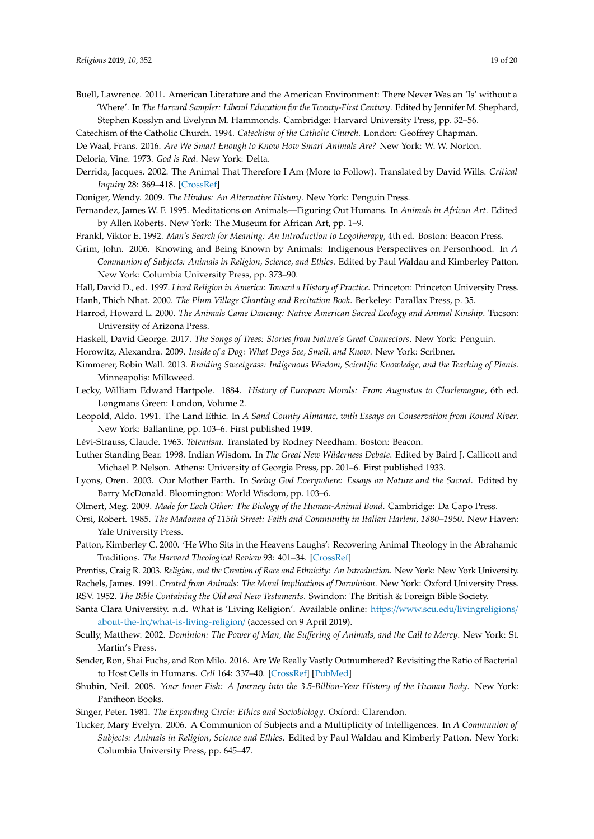- <span id="page-18-10"></span>Buell, Lawrence. 2011. American Literature and the American Environment: There Never Was an 'Is' without a 'Where'. In *The Harvard Sampler: Liberal Education for the Twenty-First Century*. Edited by Jennifer M. Shephard, Stephen Kosslyn and Evelynn M. Hammonds. Cambridge: Harvard University Press, pp. 32–56.
- <span id="page-18-9"></span>Catechism of the Catholic Church. 1994. *Catechism of the Catholic Church*. London: Geoffrey Chapman.
- <span id="page-18-22"></span>De Waal, Frans. 2016. *Are We Smart Enough to Know How Smart Animals Are?* New York: W. W. Norton.

<span id="page-18-12"></span>Deloria, Vine. 1973. *God is Red*. New York: Delta.

- <span id="page-18-30"></span>Derrida, Jacques. 2002. The Animal That Therefore I Am (More to Follow). Translated by David Wills. *Critical Inquiry* 28: 369–418. [\[CrossRef\]](http://dx.doi.org/10.1086/449046)
- <span id="page-18-11"></span><span id="page-18-8"></span>Doniger, Wendy. 2009. *The Hindus: An Alternative History*. New York: Penguin Press.
- Fernandez, James W. F. 1995. Meditations on Animals—Figuring Out Humans. In *Animals in African Art*. Edited by Allen Roberts. New York: The Museum for African Art, pp. 1–9.

<span id="page-18-5"></span>Frankl, Viktor E. 1992. *Man's Search for Meaning: An Introduction to Logotherapy*, 4th ed. Boston: Beacon Press.

<span id="page-18-18"></span>Grim, John. 2006. Knowing and Being Known by Animals: Indigenous Perspectives on Personhood. In *A Communion of Subjects: Animals in Religion, Science, and Ethics*. Edited by Paul Waldau and Kimberley Patton. New York: Columbia University Press, pp. 373–90.

<span id="page-18-21"></span><span id="page-18-1"></span>Hall, David D., ed. 1997. *Lived Religion in America: Toward a History of Practice*. Princeton: Princeton University Press. Hanh, Thich Nhat. 2000. *The Plum Village Chanting and Recitation Book*. Berkeley: Parallax Press, p. 35.

- <span id="page-18-19"></span>Harrod, Howard L. 2000. *The Animals Came Dancing: Native American Sacred Ecology and Animal Kinship*. Tucson: University of Arizona Press.
- <span id="page-18-28"></span><span id="page-18-25"></span>Haskell, David George. 2017. *The Songs of Trees: Stories from Nature's Great Connectors*. New York: Penguin.
- Horowitz, Alexandra. 2009. *Inside of a Dog: What Dogs See, Smell, and Know*. New York: Scribner.
- <span id="page-18-24"></span>Kimmerer, Robin Wall. 2013. *Braiding Sweetgrass: Indigenous Wisdom, Scientific Knowledge, and the Teaching of Plants*. Minneapolis: Milkweed.
- <span id="page-18-15"></span>Lecky, William Edward Hartpole. 1884. *History of European Morals: From Augustus to Charlemagne*, 6th ed. Longmans Green: London, Volume 2.
- <span id="page-18-3"></span>Leopold, Aldo. 1991. The Land Ethic. In *A Sand County Almanac, with Essays on Conservation from Round River*. New York: Ballantine, pp. 103–6. First published 1949.
- <span id="page-18-29"></span>Lévi-Strauss, Claude. 1963. *Totemism*. Translated by Rodney Needham. Boston: Beacon.
- <span id="page-18-7"></span>Luther Standing Bear. 1998. Indian Wisdom. In *The Great New Wilderness Debate*. Edited by Baird J. Callicott and Michael P. Nelson. Athens: University of Georgia Press, pp. 201–6. First published 1933.
- <span id="page-18-13"></span>Lyons, Oren. 2003. Our Mother Earth. In *Seeing God Everywhere: Essays on Nature and the Sacred*. Edited by Barry McDonald. Bloomington: World Wisdom, pp. 103–6.
- <span id="page-18-27"></span>Olmert, Meg. 2009. *Made for Each Other: The Biology of the Human-Animal Bond*. Cambridge: Da Capo Press.
- <span id="page-18-2"></span>Orsi, Robert. 1985. *The Madonna of 115th Street: Faith and Community in Italian Harlem, 1880–1950*. New Haven: Yale University Press.
- <span id="page-18-31"></span>Patton, Kimberley C. 2000. 'He Who Sits in the Heavens Laughs': Recovering Animal Theology in the Abrahamic Traditions. *The Harvard Theological Review* 93: 401–34. [\[CrossRef\]](http://dx.doi.org/10.1017/S0017816000016400)

<span id="page-18-20"></span><span id="page-18-6"></span>Prentiss, Craig R. 2003. *Religion, and the Creation of Race and Ethnicity: An Introduction*. New York: New York University. Rachels, James. 1991. *Created from Animals: The Moral Implications of Darwinism*. New York: Oxford University Press.

- <span id="page-18-26"></span>RSV. 1952. *The Bible Containing the Old and New Testaments*. Swindon: The British & Foreign Bible Society.
- <span id="page-18-0"></span>Santa Clara University. n.d. What is 'Living Religion'. Available online: https://www.scu.edu/[livingreligions](https://www.scu.edu/livingreligions/about-the-lrc/what-is-living-religion/)/ about-the-lrc/[what-is-living-religion](https://www.scu.edu/livingreligions/about-the-lrc/what-is-living-religion/)/ (accessed on 9 April 2019).
- <span id="page-18-17"></span>Scully, Matthew. 2002. *Dominion: The Power of Man, the Su*ff*ering of Animals, and the Call to Mercy*. New York: St. Martin's Press.
- <span id="page-18-23"></span>Sender, Ron, Shai Fuchs, and Ron Milo. 2016. Are We Really Vastly Outnumbered? Revisiting the Ratio of Bacterial to Host Cells in Humans. *Cell* 164: 337–40. [\[CrossRef\]](http://dx.doi.org/10.1016/j.cell.2016.01.013) [\[PubMed\]](http://www.ncbi.nlm.nih.gov/pubmed/26824647)
- <span id="page-18-14"></span>Shubin, Neil. 2008. *Your Inner Fish: A Journey into the 3.5-Billion-Year History of the Human Body*. New York: Pantheon Books.
- <span id="page-18-16"></span>Singer, Peter. 1981. *The Expanding Circle: Ethics and Sociobiology*. Oxford: Clarendon.
- <span id="page-18-4"></span>Tucker, Mary Evelyn. 2006. A Communion of Subjects and a Multiplicity of Intelligences. In *A Communion of Subjects: Animals in Religion, Science and Ethics*. Edited by Paul Waldau and Kimberly Patton. New York: Columbia University Press, pp. 645–47.